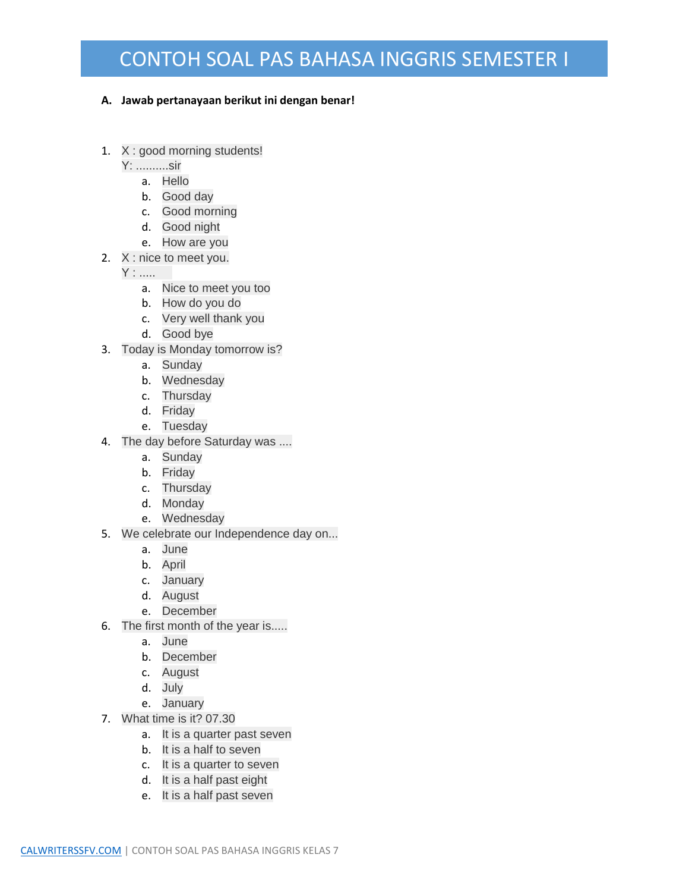## CONTOH SOAL PAS BAHASA INGGRIS SEMESTER I

## **A. Jawab pertanayaan berikut ini dengan benar!**

- 1. X : good morning students!
	- Y: ..........sir
		- a. Hello
		- b. Good day
		- c. Good morning
		- d. Good night
		- e. How are you
- 2. X : nice to meet you.
	- Y : .....
		- a. Nice to meet you too
		- b. How do you do
		- c. Very well thank you
		- d. Good bye
- 3. Today is Monday tomorrow is?
	- a. Sunday
	- b. Wednesday
	- c. Thursday
	- d. Friday
	- e. Tuesday
- 4. The day before Saturday was ....
	- a. Sunday
	- b. Friday
	- c. Thursday
	- d. Monday
	- e. Wednesday
- 5. We celebrate our Independence day on...
	- a. June
	- b. April
	- c. January
	- d. August
	- e. December
- 6. The first month of the year is.....
	- a. June
	- b. December
	- c. August
	- d. July
	- e. January
- 7. What time is it? 07.30
	- a. It is a quarter past seven
	- b. It is a half to seven
	- c. It is a quarter to seven
	- d. It is a half past eight
	- e. It is a half past seven